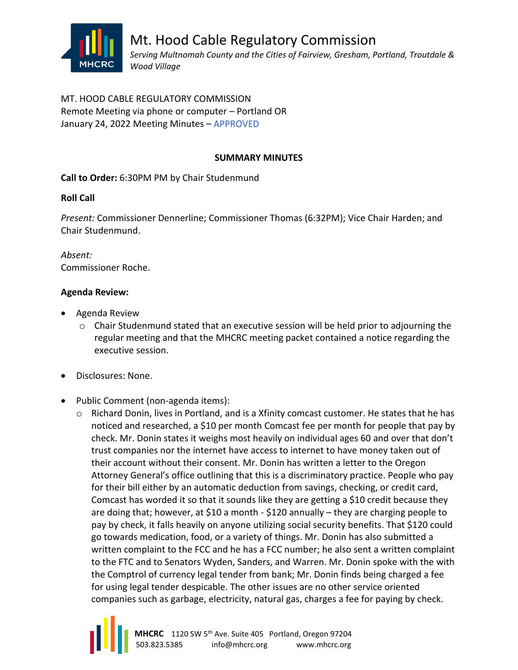

MT. HOOD CABLE REGULATORY COMMISSION Remote Meeting via phone or computer – Portland OR January 24, 2022 Meeting Minutes – APPROVED

## **SUMMARY MINUTES**

**Call to Order:** 6:30PM PM by Chair Studenmund

# **Roll Call**

*Present:* Commissioner Dennerline; Commissioner Thomas (6:32PM); Vice Chair Harden; and Chair Studenmund.

*Absent:* Commissioner Roche.

## **Agenda Review:**

- Agenda Review
	- o Chair Studenmund stated that an executive session will be held prior to adjourning the regular meeting and that the MHCRC meeting packet contained a notice regarding the executive session.
- Disclosures: None.
- Public Comment (non-agenda items):
	- o Richard Donin, lives in Portland, and is a Xfinity comcast customer. He states that he has noticed and researched, a \$10 per month Comcast fee per month for people that pay by check. Mr. Donin states it weighs most heavily on individual ages 60 and over that don't trust companies nor the internet have access to internet to have money taken out of their account without their consent. Mr. Donin has written a letter to the Oregon Attorney General's office outlining that this is a discriminatory practice. People who pay for their bill either by an automatic deduction from savings, checking, or credit card, Comcast has worded it so that it sounds like they are getting a \$10 credit because they are doing that; however, at \$10 a month - \$120 annually – they are charging people to pay by check, it falls heavily on anyone utilizing social security benefits. That \$120 could go towards medication, food, or a variety of things. Mr. Donin has also submitted a written complaint to the FCC and he has a FCC number; he also sent a written complaint to the FTC and to Senators Wyden, Sanders, and Warren. Mr. Donin spoke with the with the Comptrol of currency legal tender from bank; Mr. Donin finds being charged a fee for using legal tender despicable. The other issues are no other service oriented companies such as garbage, electricity, natural gas, charges a fee for paying by check.

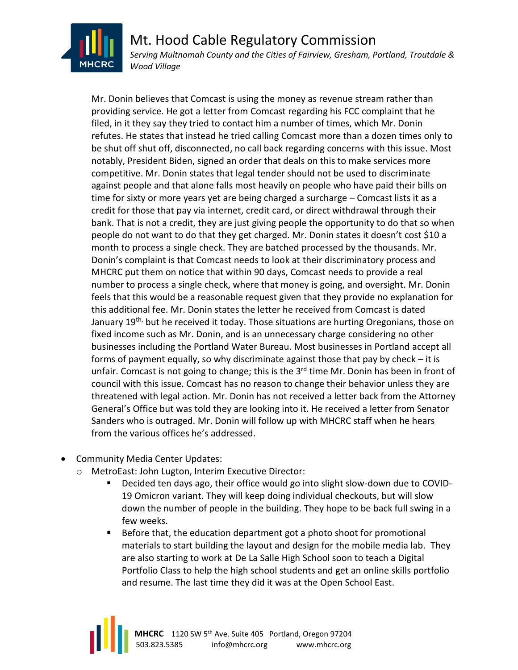

Mt. Hood Cable Regulatory Commission *Serving Multnomah County and the Cities of Fairview, Gresham, Portland, Troutdale & Wood Village*

Mr. Donin believes that Comcast is using the money as revenue stream rather than providing service. He got a letter from Comcast regarding his FCC complaint that he filed, in it they say they tried to contact him a number of times, which Mr. Donin refutes. He states that instead he tried calling Comcast more than a dozen times only to be shut off shut off, disconnected, no call back regarding concerns with this issue. Most notably, President Biden, signed an order that deals on this to make services more competitive. Mr. Donin states that legal tender should not be used to discriminate against people and that alone falls most heavily on people who have paid their bills on time for sixty or more years yet are being charged a surcharge – Comcast lists it as a credit for those that pay via internet, credit card, or direct withdrawal through their bank. That is not a credit, they are just giving people the opportunity to do that so when people do not want to do that they get charged. Mr. Donin states it doesn't cost \$10 a month to process a single check. They are batched processed by the thousands. Mr. Donin's complaint is that Comcast needs to look at their discriminatory process and MHCRC put them on notice that within 90 days, Comcast needs to provide a real number to process a single check, where that money is going, and oversight. Mr. Donin feels that this would be a reasonable request given that they provide no explanation for this additional fee. Mr. Donin states the letter he received from Comcast is dated January 19<sup>th,</sup> but he received it today. Those situations are hurting Oregonians, those on fixed income such as Mr. Donin, and is an unnecessary charge considering no other businesses including the Portland Water Bureau. Most businesses in Portland accept all forms of payment equally, so why discriminate against those that pay by check – it is unfair. Comcast is not going to change; this is the 3<sup>rd</sup> time Mr. Donin has been in front of council with this issue. Comcast has no reason to change their behavior unless they are threatened with legal action. Mr. Donin has not received a letter back from the Attorney General's Office but was told they are looking into it. He received a letter from Senator Sanders who is outraged. Mr. Donin will follow up with MHCRC staff when he hears from the various offices he's addressed.

- Community Media Center Updates:
	- o MetroEast: John Lugton, Interim Executive Director:
		- Decided ten days ago, their office would go into slight slow-down due to COVID-19 Omicron variant. They will keep doing individual checkouts, but will slow down the number of people in the building. They hope to be back full swing in a few weeks.
		- Before that, the education department got a photo shoot for promotional materials to start building the layout and design for the mobile media lab. They are also starting to work at De La Salle High School soon to teach a Digital Portfolio Class to help the high school students and get an online skills portfolio and resume. The last time they did it was at the Open School East.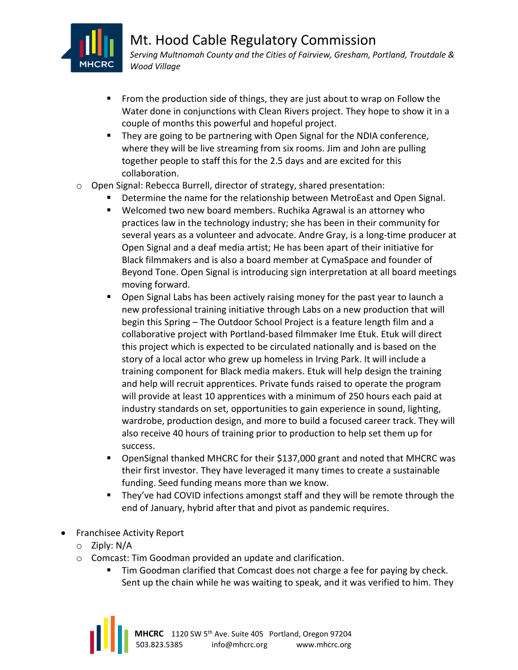

- From the production side of things, they are just about to wrap on Follow the Water done in conjunctions with Clean Rivers project. They hope to show it in a couple of months this powerful and hopeful project.
- They are going to be partnering with Open Signal for the NDIA conference, where they will be live streaming from six rooms. Jim and John are pulling together people to staff this for the 2.5 days and are excited for this collaboration.
- o Open Signal: Rebecca Burrell, director of strategy, shared presentation:
	- **E** Determine the name for the relationship between MetroEast and Open Signal.
	- Welcomed two new board members. Ruchika Agrawal is an attorney who practices law in the technology industry; she has been in their community for several years as a volunteer and advocate. Andre Gray, is a long-time producer at Open Signal and a deaf media artist; He has been apart of their initiative for Black filmmakers and is also a board member at CymaSpace and founder of Beyond Tone. Open Signal is introducing sign interpretation at all board meetings moving forward.
	- Open Signal Labs has been actively raising money for the past year to launch a new professional training initiative through Labs on a new production that will begin this Spring – The Outdoor School Project is a feature length film and a collaborative project with Portland-based filmmaker Ime Etuk. Etuk will direct this project which is expected to be circulated nationally and is based on the story of a local actor who grew up homeless in Irving Park. It will include a training component for Black media makers. Etuk will help design the training and help will recruit apprentices. Private funds raised to operate the program will provide at least 10 apprentices with a minimum of 250 hours each paid at industry standards on set, opportunities to gain experience in sound, lighting, wardrobe, production design, and more to build a focused career track. They will also receive 40 hours of training prior to production to help set them up for success.
	- OpenSignal thanked MHCRC for their \$137,000 grant and noted that MHCRC was their first investor. They have leveraged it many times to create a sustainable funding. Seed funding means more than we know.
	- They've had COVID infections amongst staff and they will be remote through the end of January, hybrid after that and pivot as pandemic requires.
- Franchisee Activity Report
	- o Ziply: N/A
	- o Comcast: Tim Goodman provided an update and clarification.
		- Tim Goodman clarified that Comcast does not charge a fee for paying by check. Sent up the chain while he was waiting to speak, and it was verified to him. They

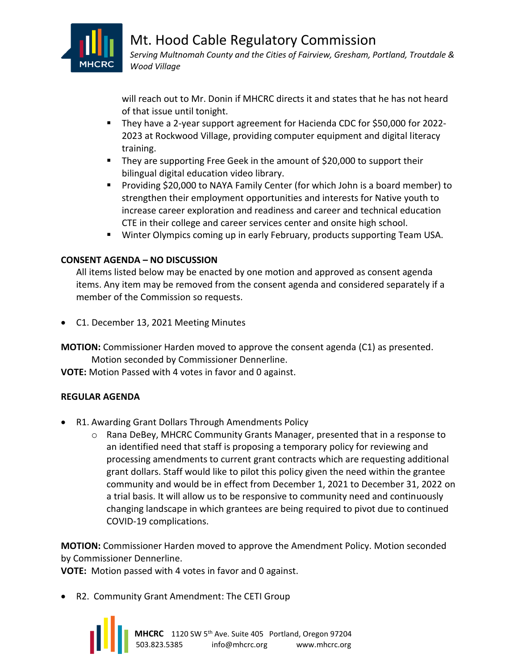

Mt. Hood Cable Regulatory Commission *Serving Multnomah County and the Cities of Fairview, Gresham, Portland, Troutdale & Wood Village*

will reach out to Mr. Donin if MHCRC directs it and states that he has not heard of that issue until tonight.

- They have a 2-year support agreement for Hacienda CDC for \$50,000 for 2022-2023 at Rockwood Village, providing computer equipment and digital literacy training.
- They are supporting Free Geek in the amount of \$20,000 to support their bilingual digital education video library.
- Providing \$20,000 to NAYA Family Center (for which John is a board member) to strengthen their employment opportunities and interests for Native youth to increase career exploration and readiness and career and technical education CTE in their college and career services center and onsite high school.
- Winter Olympics coming up in early February, products supporting Team USA.

# **CONSENT AGENDA – NO DISCUSSION**

All items listed below may be enacted by one motion and approved as consent agenda items. Any item may be removed from the consent agenda and considered separately if a member of the Commission so requests.

• C1. December 13, 2021 Meeting Minutes

**MOTION:** Commissioner Harden moved to approve the consent agenda (C1) as presented. Motion seconded by Commissioner Dennerline.

**VOTE:** Motion Passed with 4 votes in favor and 0 against.

## **REGULAR AGENDA**

- R1. Awarding Grant Dollars Through Amendments Policy
	- o Rana DeBey, MHCRC Community Grants Manager, presented that in a response to an identified need that staff is proposing a temporary policy for reviewing and processing amendments to current grant contracts which are requesting additional grant dollars. Staff would like to pilot this policy given the need within the grantee community and would be in effect from December 1, 2021 to December 31, 2022 on a trial basis. It will allow us to be responsive to community need and continuously changing landscape in which grantees are being required to pivot due to continued COVID-19 complications.

**MOTION:** Commissioner Harden moved to approve the Amendment Policy. Motion seconded by Commissioner Dennerline.

**VOTE:** Motion passed with 4 votes in favor and 0 against.

• R2. Community Grant Amendment: The CETI Group

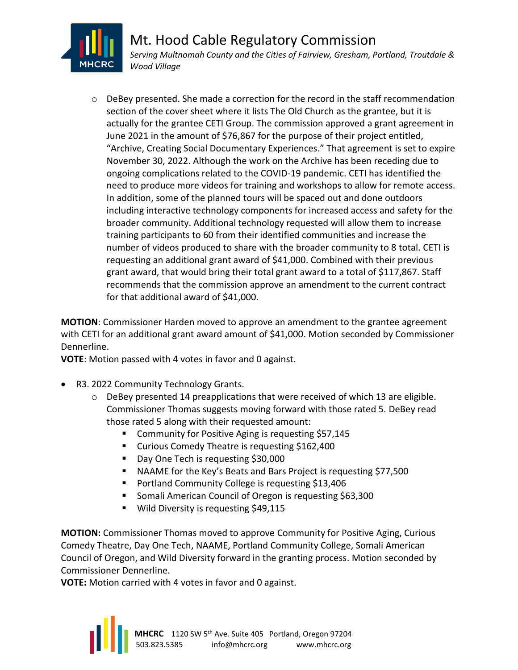

 $\circ$  DeBey presented. She made a correction for the record in the staff recommendation section of the cover sheet where it lists The Old Church as the grantee, but it is actually for the grantee CETI Group. The commission approved a grant agreement in June 2021 in the amount of \$76,867 for the purpose of their project entitled, "Archive, Creating Social Documentary Experiences." That agreement is set to expire November 30, 2022. Although the work on the Archive has been receding due to ongoing complications related to the COVID-19 pandemic. CETI has identified the need to produce more videos for training and workshops to allow for remote access. In addition, some of the planned tours will be spaced out and done outdoors including interactive technology components for increased access and safety for the broader community. Additional technology requested will allow them to increase training participants to 60 from their identified communities and increase the number of videos produced to share with the broader community to 8 total. CETI is requesting an additional grant award of \$41,000. Combined with their previous grant award, that would bring their total grant award to a total of \$117,867. Staff recommends that the commission approve an amendment to the current contract for that additional award of \$41,000.

**MOTION**: Commissioner Harden moved to approve an amendment to the grantee agreement with CETI for an additional grant award amount of \$41,000. Motion seconded by Commissioner Dennerline.

**VOTE**: Motion passed with 4 votes in favor and 0 against.

- R3. 2022 Community Technology Grants.
	- $\circ$  DeBey presented 14 preapplications that were received of which 13 are eligible. Commissioner Thomas suggests moving forward with those rated 5. DeBey read those rated 5 along with their requested amount:
		- Community for Positive Aging is requesting \$57,145
		- Curious Comedy Theatre is requesting \$162,400
		- Day One Tech is requesting \$30,000
		- NAAME for the Key's Beats and Bars Project is requesting \$77,500
		- Portland Community College is requesting \$13,406
		- Somali American Council of Oregon is requesting \$63,300
		- Wild Diversity is requesting \$49,115

**MOTION:** Commissioner Thomas moved to approve Community for Positive Aging, Curious Comedy Theatre, Day One Tech, NAAME, Portland Community College, Somali American Council of Oregon, and Wild Diversity forward in the granting process. Motion seconded by Commissioner Dennerline.

**VOTE:** Motion carried with 4 votes in favor and 0 against.

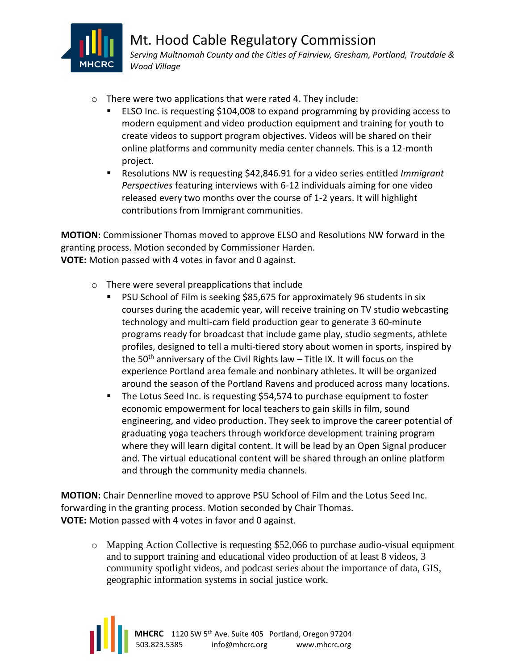

- o There were two applications that were rated 4. They include:
	- ELSO Inc. is requesting \$104,008 to expand programming by providing access to modern equipment and video production equipment and training for youth to create videos to support program objectives. Videos will be shared on their online platforms and community media center channels. This is a 12-month project.
	- Resolutions NW is requesting \$42,846.91 for a video series entitled *Immigrant Perspectives* featuring interviews with 6-12 individuals aiming for one video released every two months over the course of 1-2 years. It will highlight contributions from Immigrant communities.

**MOTION:** Commissioner Thomas moved to approve ELSO and Resolutions NW forward in the granting process. Motion seconded by Commissioner Harden. **VOTE:** Motion passed with 4 votes in favor and 0 against.

- o There were several preapplications that include
	- PSU School of Film is seeking \$85,675 for approximately 96 students in six courses during the academic year, will receive training on TV studio webcasting technology and multi-cam field production gear to generate 3 60-minute programs ready for broadcast that include game play, studio segments, athlete profiles, designed to tell a multi-tiered story about women in sports, inspired by the 50<sup>th</sup> anniversary of the Civil Rights law  $-$  Title IX. It will focus on the experience Portland area female and nonbinary athletes. It will be organized around the season of the Portland Ravens and produced across many locations.
	- The Lotus Seed Inc. is requesting \$54,574 to purchase equipment to foster economic empowerment for local teachers to gain skills in film, sound engineering, and video production. They seek to improve the career potential of graduating yoga teachers through workforce development training program where they will learn digital content. It will be lead by an Open Signal producer and. The virtual educational content will be shared through an online platform and through the community media channels.

**MOTION:** Chair Dennerline moved to approve PSU School of Film and the Lotus Seed Inc. forwarding in the granting process. Motion seconded by Chair Thomas. **VOTE:** Motion passed with 4 votes in favor and 0 against.

o Mapping Action Collective is requesting \$52,066 to purchase audio-visual equipment and to support training and educational video production of at least 8 videos, 3 community spotlight videos, and podcast series about the importance of data, GIS, geographic information systems in social justice work.

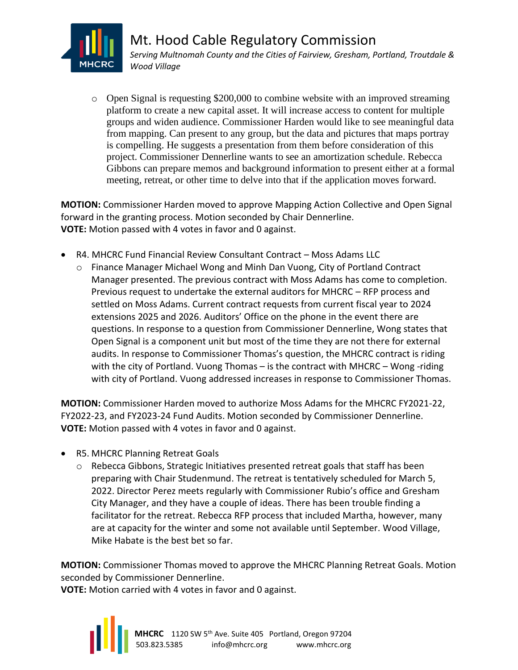

 $\circ$  Open Signal is requesting \$200,000 to combine website with an improved streaming platform to create a new capital asset. It will increase access to content for multiple groups and widen audience. Commissioner Harden would like to see meaningful data from mapping. Can present to any group, but the data and pictures that maps portray is compelling. He suggests a presentation from them before consideration of this project. Commissioner Dennerline wants to see an amortization schedule. Rebecca Gibbons can prepare memos and background information to present either at a formal meeting, retreat, or other time to delve into that if the application moves forward.

**MOTION:** Commissioner Harden moved to approve Mapping Action Collective and Open Signal forward in the granting process. Motion seconded by Chair Dennerline. **VOTE:** Motion passed with 4 votes in favor and 0 against.

- R4. MHCRC Fund Financial Review Consultant Contract Moss Adams LLC
	- o Finance Manager Michael Wong and Minh Dan Vuong, City of Portland Contract Manager presented. The previous contract with Moss Adams has come to completion. Previous request to undertake the external auditors for MHCRC – RFP process and settled on Moss Adams. Current contract requests from current fiscal year to 2024 extensions 2025 and 2026. Auditors' Office on the phone in the event there are questions. In response to a question from Commissioner Dennerline, Wong states that Open Signal is a component unit but most of the time they are not there for external audits. In response to Commissioner Thomas's question, the MHCRC contract is riding with the city of Portland. Vuong Thomas – is the contract with MHCRC – Wong-riding with city of Portland. Vuong addressed increases in response to Commissioner Thomas.

**MOTION:** Commissioner Harden moved to authorize Moss Adams for the MHCRC FY2021-22, FY2022-23, and FY2023-24 Fund Audits. Motion seconded by Commissioner Dennerline. **VOTE:** Motion passed with 4 votes in favor and 0 against.

- R5. MHCRC Planning Retreat Goals
	- $\circ$  Rebecca Gibbons, Strategic Initiatives presented retreat goals that staff has been preparing with Chair Studenmund. The retreat is tentatively scheduled for March 5, 2022. Director Perez meets regularly with Commissioner Rubio's office and Gresham City Manager, and they have a couple of ideas. There has been trouble finding a facilitator for the retreat. Rebecca RFP process that included Martha, however, many are at capacity for the winter and some not available until September. Wood Village, Mike Habate is the best bet so far.

**MOTION:** Commissioner Thomas moved to approve the MHCRC Planning Retreat Goals. Motion seconded by Commissioner Dennerline.

**VOTE:** Motion carried with 4 votes in favor and 0 against.

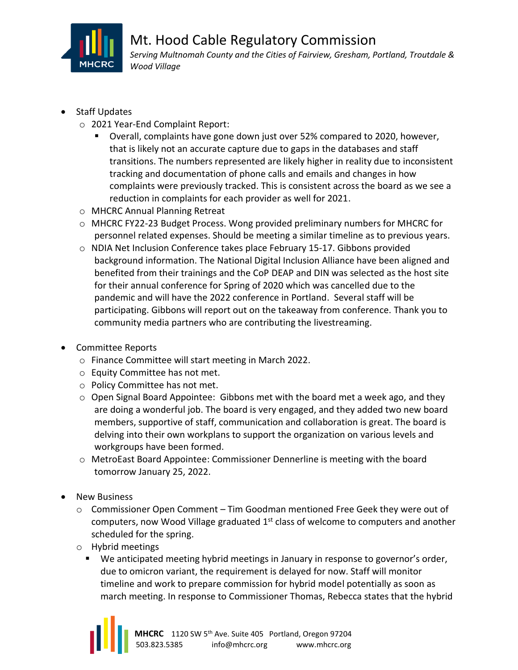

- Staff Updates
	- o 2021 Year-End Complaint Report:
		- Overall, complaints have gone down just over 52% compared to 2020, however, that is likely not an accurate capture due to gaps in the databases and staff transitions. The numbers represented are likely higher in reality due to inconsistent tracking and documentation of phone calls and emails and changes in how complaints were previously tracked. This is consistent across the board as we see a reduction in complaints for each provider as well for 2021.
	- o MHCRC Annual Planning Retreat
	- o MHCRC FY22-23 Budget Process. Wong provided preliminary numbers for MHCRC for personnel related expenses. Should be meeting a similar timeline as to previous years.
	- o NDIA Net Inclusion Conference takes place February 15-17. Gibbons provided background information. The National Digital Inclusion Alliance have been aligned and benefited from their trainings and the CoP DEAP and DIN was selected as the host site for their annual conference for Spring of 2020 which was cancelled due to the pandemic and will have the 2022 conference in Portland. Several staff will be participating. Gibbons will report out on the takeaway from conference. Thank you to community media partners who are contributing the livestreaming.
- Committee Reports
	- o Finance Committee will start meeting in March 2022.
	- o Equity Committee has not met.
	- o Policy Committee has not met.
	- $\circ$  Open Signal Board Appointee: Gibbons met with the board met a week ago, and they are doing a wonderful job. The board is very engaged, and they added two new board members, supportive of staff, communication and collaboration is great. The board is delving into their own workplans to support the organization on various levels and workgroups have been formed.
	- o MetroEast Board Appointee: Commissioner Dennerline is meeting with the board tomorrow January 25, 2022.
- **New Business** 
	- o Commissioner Open Comment Tim Goodman mentioned Free Geek they were out of computers, now Wood Village graduated 1<sup>st</sup> class of welcome to computers and another scheduled for the spring.
	- o Hybrid meetings
		- We anticipated meeting hybrid meetings in January in response to governor's order, due to omicron variant, the requirement is delayed for now. Staff will monitor timeline and work to prepare commission for hybrid model potentially as soon as march meeting. In response to Commissioner Thomas, Rebecca states that the hybrid